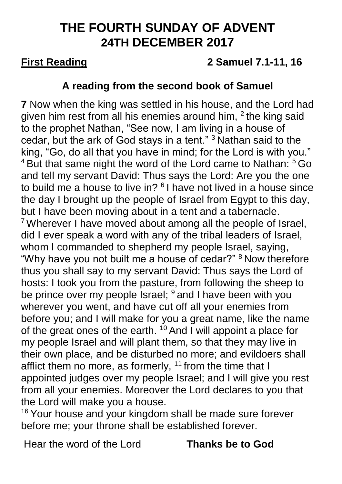# **THE FOURTH SUNDAY OF ADVENT 24TH DECEMBER 2017**

## **First Reading 2 Samuel 7.1-11, 16**

### **A reading from the second book of Samuel**

**7** Now when the king was settled in his house, and the Lord had given him rest from all his enemies around him,  $2$  the king said to the prophet Nathan, "See now, I am living in a house of cedar, but the ark of God stays in a tent." <sup>3</sup> Nathan said to the king, "Go, do all that you have in mind; for the Lord is with you." <sup>4</sup> But that same night the word of the Lord came to Nathan: <sup>5</sup> Go and tell my servant David: Thus says the Lord: Are you the one to build me a house to live in?  $6$  I have not lived in a house since the day I brought up the people of Israel from Egypt to this day, but I have been moving about in a tent and a tabernacle. <sup>7</sup> Wherever I have moved about among all the people of Israel, did I ever speak a word with any of the tribal leaders of Israel, whom I commanded to shepherd my people Israel, saying, "Why have you not built me a house of cedar?" <sup>8</sup> Now therefore thus you shall say to my servant David: Thus says the Lord of hosts: I took you from the pasture, from following the sheep to be prince over my people Israel; <sup>9</sup> and I have been with you wherever you went, and have cut off all your enemies from before you; and I will make for you a great name, like the name of the great ones of the earth.  $10$  And I will appoint a place for my people Israel and will plant them, so that they may live in their own place, and be disturbed no more; and evildoers shall afflict them no more, as formerly,  $11$  from the time that I appointed judges over my people Israel; and I will give you rest from all your enemies. Moreover the Lord declares to you that the Lord will make you a house.

<sup>16</sup> Your house and your kingdom shall be made sure forever before me; your throne shall be established forever.

Hear the word of the Lord **Thanks be to God**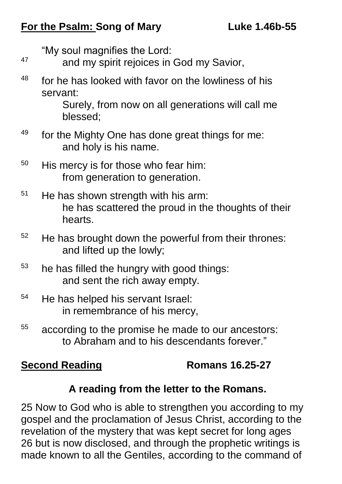### **For the Psalm: Song of Mary Luke 1.46b-55**

"My soul magnifies the Lord:

- <sup>47</sup> and my spirit rejoices in God my Savior,
- $48$  for he has looked with favor on the lowliness of his servant:

Surely, from now on all generations will call me blessed;

- <sup>49</sup> for the Mighty One has done great things for me: and holy is his name.
- $50$  His mercy is for those who fear him: from generation to generation.
- $51$  He has shown strength with his arm: he has scattered the proud in the thoughts of their hearts.
- $52$  He has brought down the powerful from their thrones: and lifted up the lowly;
- $53$  he has filled the hungry with good things: and sent the rich away empty.
- <sup>54</sup> He has helped his servant Israel: in remembrance of his mercy,
- <sup>55</sup> according to the promise he made to our ancestors: to Abraham and to his descendants forever."

### **Second Reading Romans 16.25-27**

### **A reading from the letter to the Romans.**

25 Now to God who is able to strengthen you according to my gospel and the proclamation of Jesus Christ, according to the revelation of the mystery that was kept secret for long ages 26 but is now disclosed, and through the prophetic writings is made known to all the Gentiles, according to the command of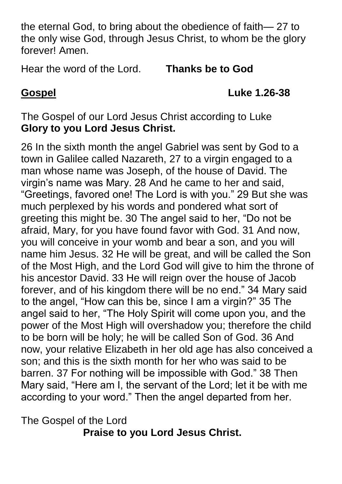the eternal God, to bring about the obedience of faith— 27 to the only wise God, through Jesus Christ, to whom be the glory forever! Amen.

Hear the word of the Lord. **Thanks be to God**

**Gospel Luke 1.26-38**

The Gospel of our Lord Jesus Christ according to Luke **Glory to you Lord Jesus Christ.**

26 In the sixth month the angel Gabriel was sent by God to a town in Galilee called Nazareth, 27 to a virgin engaged to a man whose name was Joseph, of the house of David. The virgin's name was Mary. 28 And he came to her and said, "Greetings, favored one! The Lord is with you." 29 But she was much perplexed by his words and pondered what sort of greeting this might be. 30 The angel said to her, "Do not be afraid, Mary, for you have found favor with God. 31 And now, you will conceive in your womb and bear a son, and you will name him Jesus. 32 He will be great, and will be called the Son of the Most High, and the Lord God will give to him the throne of his ancestor David. 33 He will reign over the house of Jacob forever, and of his kingdom there will be no end." 34 Mary said to the angel, "How can this be, since I am a virgin?" 35 The angel said to her, "The Holy Spirit will come upon you, and the power of the Most High will overshadow you; therefore the child to be born will be holy; he will be called Son of God. 36 And now, your relative Elizabeth in her old age has also conceived a son; and this is the sixth month for her who was said to be barren. 37 For nothing will be impossible with God." 38 Then Mary said, "Here am I, the servant of the Lord; let it be with me according to your word." Then the angel departed from her.

The Gospel of the Lord **Praise to you Lord Jesus Christ.**